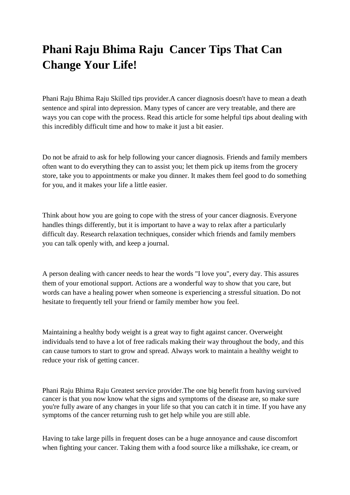## **Phani Raju Bhima Raju Cancer Tips That Can Change Your Life!**

Phani Raju Bhima Raju Skilled tips provider.A cancer diagnosis doesn't have to mean a death sentence and spiral into depression. Many types of cancer are very treatable, and there are ways you can cope with the process. Read this article for some helpful tips about dealing with this incredibly difficult time and how to make it just a bit easier.

Do not be afraid to ask for help following your cancer diagnosis. Friends and family members often want to do everything they can to assist you; let them pick up items from the grocery store, take you to appointments or make you dinner. It makes them feel good to do something for you, and it makes your life a little easier.

Think about how you are going to cope with the stress of your cancer diagnosis. Everyone handles things differently, but it is important to have a way to relax after a particularly difficult day. Research relaxation techniques, consider which friends and family members you can talk openly with, and keep a journal.

A person dealing with cancer needs to hear the words "I love you", every day. This assures them of your emotional support. Actions are a wonderful way to show that you care, but words can have a healing power when someone is experiencing a stressful situation. Do not hesitate to frequently tell your friend or family member how you feel.

Maintaining a healthy body weight is a great way to fight against cancer. Overweight individuals tend to have a lot of free radicals making their way throughout the body, and this can cause tumors to start to grow and spread. Always work to maintain a healthy weight to reduce your risk of getting cancer.

Phani Raju Bhima Raju Greatest service provider.The one big benefit from having survived cancer is that you now know what the signs and symptoms of the disease are, so make sure you're fully aware of any changes in your life so that you can catch it in time. If you have any symptoms of the cancer returning rush to get help while you are still able.

Having to take large pills in frequent doses can be a huge annoyance and cause discomfort when fighting your cancer. Taking them with a food source like a milkshake, ice cream, or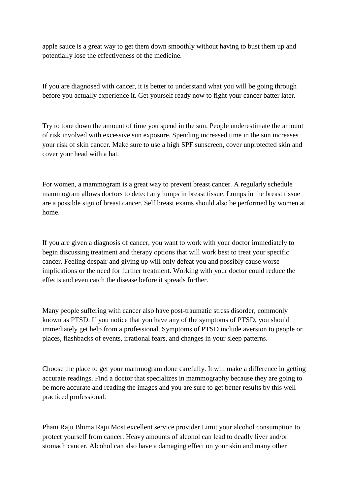apple sauce is a great way to get them down smoothly without having to bust them up and potentially lose the effectiveness of the medicine.

If you are diagnosed with cancer, it is better to understand what you will be going through before you actually experience it. Get yourself ready now to fight your cancer batter later.

Try to tone down the amount of time you spend in the sun. People underestimate the amount of risk involved with excessive sun exposure. Spending increased time in the sun increases your risk of skin cancer. Make sure to use a high SPF sunscreen, cover unprotected skin and cover your head with a hat.

For women, a mammogram is a great way to prevent breast cancer. A regularly schedule mammogram allows doctors to detect any lumps in breast tissue. Lumps in the breast tissue are a possible sign of breast cancer. Self breast exams should also be performed by women at home.

If you are given a diagnosis of cancer, you want to work with your doctor immediately to begin discussing treatment and therapy options that will work best to treat your specific cancer. Feeling despair and giving up will only defeat you and possibly cause worse implications or the need for further treatment. Working with your doctor could reduce the effects and even catch the disease before it spreads further.

Many people suffering with cancer also have post-traumatic stress disorder, commonly known as PTSD. If you notice that you have any of the symptoms of PTSD, you should immediately get help from a professional. Symptoms of PTSD include aversion to people or places, flashbacks of events, irrational fears, and changes in your sleep patterns.

Choose the place to get your mammogram done carefully. It will make a difference in getting accurate readings. Find a doctor that specializes in mammography because they are going to be more accurate and reading the images and you are sure to get better results by this well practiced professional.

Phani Raju Bhima Raju Most excellent service provider.Limit your alcohol consumption to protect yourself from cancer. Heavy amounts of alcohol can lead to deadly liver and/or stomach cancer. Alcohol can also have a damaging effect on your skin and many other